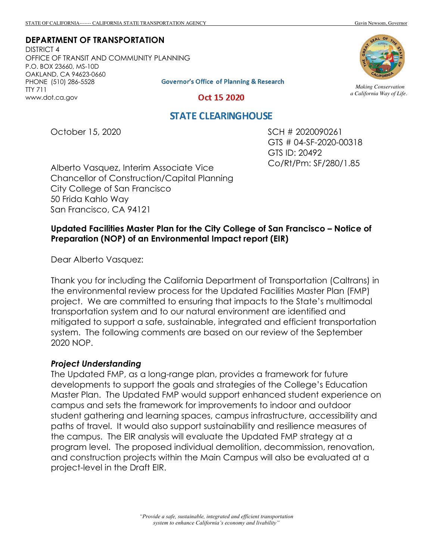# **DEPARTMENT OF TRANSPORTATION**

DISTRICT 4 OFFICE OF TRANSIT AND COMMUNITY PLANNING P.O. BOX 23660, MS-10D OAKLAND, CA 94623-0660 **Governor's Office of Planning & Research** PHONE (510) 286-5528 TTY 711 www.dot.ca.gov



*Making Conservation a California Way of Life.*

#### Oct 15 2020

### **STATE CLEARINGHOUSE**

October 15, 2020

SCH # 2020090261 GTS # 04-SF-2020-00318 GTS ID: 20492 Co/Rt/Pm: SF/280/1.85

Alberto Vasquez, Interim Associate Vice Chancellor of Construction/Capital Planning City College of San Francisco 50 Frida Kahlo Way San Francisco, CA 94121

### **Updated Facilities Master Plan for the City College of San Francisco – Notice of Preparation (NOP) of an Environmental Impact report (EIR)**

Dear Alberto Vasquez:

Thank you for including the California Department of Transportation (Caltrans) in the environmental review process for the Updated Facilities Master Plan (FMP) project. We are committed to ensuring that impacts to the State's multimodal transportation system and to our natural environment are identified and mitigated to support a safe, sustainable, integrated and efficient transportation system. The following comments are based on our review of the September 2020 NOP.

#### *Project Understanding*

The Updated FMP, as a long-range plan, provides a framework for future developments to support the goals and strategies of the College's Education Master Plan. The Updated FMP would support enhanced student experience on campus and sets the framework for improvements to indoor and outdoor student gathering and learning spaces, campus infrastructure, accessibility and paths of travel. It would also support sustainability and resilience measures of the campus. The EIR analysis will evaluate the Updated FMP strategy at a program level. The proposed individual demolition, decommission, renovation, and construction projects within the Main Campus will also be evaluated at a project-level in the Draft EIR.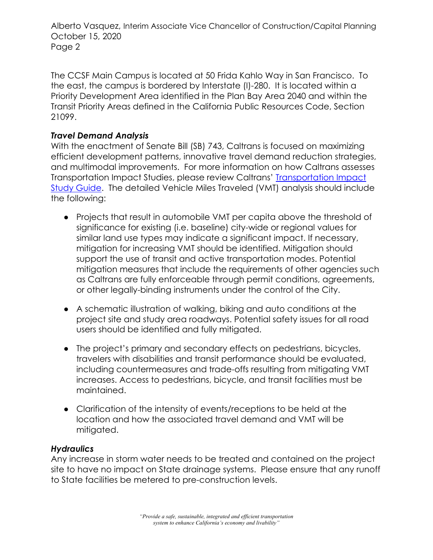Alberto Vasquez, Interim Associate Vice Chancellor of Construction/Capital Planning October 15, 2020 Page 2

The CCSF Main Campus is located at 50 Frida Kahlo Way in San Francisco. To the east, the campus is bordered by Interstate (I)-280. It is located within a Priority Development Area identified in the Plan Bay Area 2040 and within the Transit Priority Areas defined in the California Public Resources Code, Section 21099.

## *Travel Demand Analysis*

With the enactment of Senate Bill (SB) 743, Caltrans is focused on maximizing efficient development patterns, innovative travel demand reduction strategies, and multimodal improvements. For more information on how Caltrans assesses Transportation Impact Studies, please review Caltrans' Transportation Impact Study Guide. The detailed Vehicle Miles Traveled (VMT) analysis should include the following:

- Projects that result in automobile VMT per capita above the threshold of significance for existing (i.e. baseline) city-wide or regional values for similar land use types may indicate a significant impact. If necessary, mitigation for increasing VMT should be identified. Mitigation should support the use of transit and active transportation modes. Potential mitigation measures that include the requirements of other agencies such as Caltrans are fully enforceable through permit conditions, agreements, or other legally-binding instruments under the control of the City.
- A schematic illustration of walking, biking and auto conditions at the project site and study area roadways. Potential safety issues for all road users should be identified and fully mitigated.
- The project's primary and secondary effects on pedestrians, bicycles, travelers with disabilities and transit performance should be evaluated, including countermeasures and trade-offs resulting from mitigating VMT increases. Access to pedestrians, bicycle, and transit facilities must be maintained.
- Clarification of the intensity of events/receptions to be held at the location and how the associated travel demand and VMT will be mitigated.

### *Hydraulics*

Any increase in storm water needs to be treated and contained on the project site to have no impact on State drainage systems. Please ensure that any runoff to State facilities be metered to pre-construction levels.